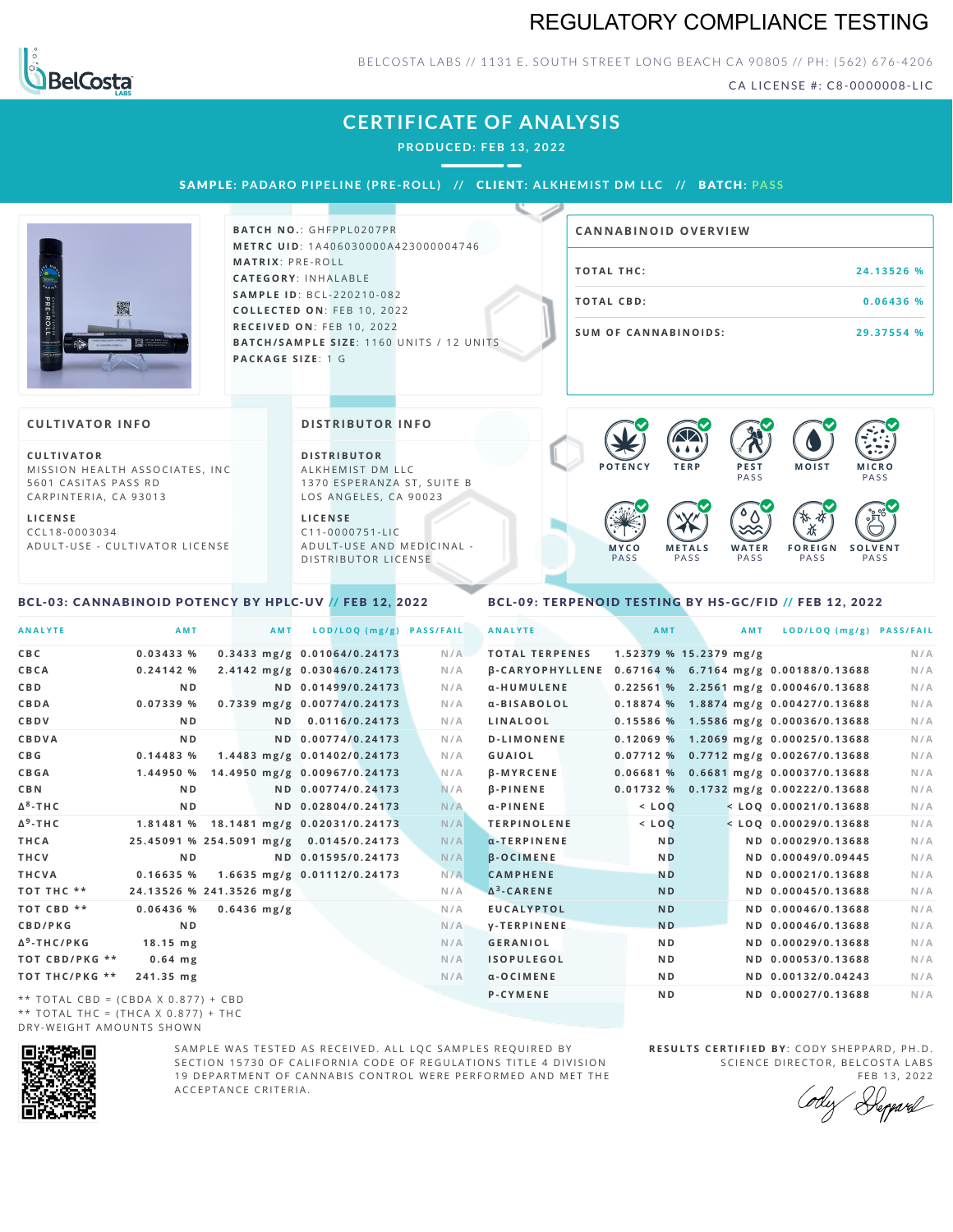## REGULATORY COMPLIANCE TESTING



### BELCOSTA LABS // 1131 E. SOUTH STREET LONG BEACH CA 90805 // PH: (562) 676-4206

CA LICENSE #: C8-0000008-LIC

## **CERTIFICATE OF ANALYSIS**

**PRODUCED: F EB 13, 2022**

SAMPLE: PADARO PIPELINE (PRE-ROLL) // CLIENT: ALKHEMIST DM LLC // BATCH: PASS



**BATCH NO.: GHFPPL0207PR M E T R C U ID** :1 A 4 0 6 0 3 0 0 0 0 A 4 2 3 0 0 0 0 0 4 7 4 6 **M AT R I X** :P R E - R O L L **CAT E G O R Y** : I N H A L A B L E **SA M P L E I D** :B C L - 2 2 0 2 1 0 - 0 8 2 **C O L L E C T E D O N** :F E B 1 0 , 2 0 2 2 **R E C E I V E D O N** : F E B 1 0 , 2 0 2 2 **BATCH/SAMPLE SIZE:** 1160 UNITS / 12 UNITS **PAC KA G E S I Z E** : 1 G

| <b>CANNABINOID OVERVIEW</b> |             |
|-----------------------------|-------------|
| TOTAL THC:                  | 24.13526 %  |
| TOTAL CBD:                  | $0.06436$ % |
| <b>SUM OF CANNABINOIDS:</b> | 29.37554 %  |

#### **CULTIVATOR I N FO**

**C U L T I VAT O R** MISSION HEALTH ASSOCIATES, INC 5601 CASITAS PASS RD CARPINTERIA, CA 93013

**L I C E N S E** C C L 1 8 - 0 0 0 3 0 3 4 A D U L T - U S E - C U L T I V A T O R L I C E N S E **DI STRIBUTOR I N FO**

**D I S T R IB U T O R** ALKHEMIST DM LLC 1370 ESPERANZA ST, SUITE B LOS ANGELES, CA 90023

**L I C E N S E**  $C11 - 0000751 - L$ A D U L T - U S E A N D M E D I C I N A L -DISTRIBUTOR LICENSE



#### <span id="page-0-0"></span>BCL-03: CANNABINOID POTENCY BY HPLC-UV // FEB 12, 2022

### <span id="page-0-1"></span>BCL-09: TERPENOID TESTING BY HS-GC/FID // FEB 12, 2022

| <b>ANALYTE</b>                      | AMT                                     |               | <b>AMT</b> | LOD/LOQ (mg/g)               | <b>PASS/FAIL</b> | <b>ANALYTE</b>        | AMT                      | AMT | LOD/LOQ (mg/g) PASS/FAIL                              |     |
|-------------------------------------|-----------------------------------------|---------------|------------|------------------------------|------------------|-----------------------|--------------------------|-----|-------------------------------------------------------|-----|
| C B C                               | 0.03433%                                |               |            | 0.3433 mg/g 0.01064/0.24173  | N/A              | <b>TOTAL TERPENES</b> | $1.52379$ % 15.2379 mg/g |     |                                                       | N/A |
| CBCA                                | 0.24142%                                |               |            | 2.4142 mg/g 0.03046/0.24173  | N/A              |                       |                          |     | β-CARYOPHYLLENE 0.67164 % 6.7164 mg/g 0.00188/0.13688 | N/A |
| C B D                               | N <sub>D</sub>                          |               |            | ND 0.01499/0.24173           | N/A              | α-HUMULENE            |                          |     | $0.22561$ % 2.2561 mg/g 0.00046/0.13688               | N/A |
| CBDA                                | 0.07339 %                               |               |            | 0.7339 mg/g 0.00774/0.24173  | N/A              | a-BISABOLOL           |                          |     | 0.18874 % 1.8874 mg/g 0.00427/0.13688                 | N/A |
| <b>CBDV</b>                         | ND.                                     |               |            | ND 0.0116/0.24173            | N/A              | LINALOOL              |                          |     | 0.15586 % 1.5586 mg/g 0.00036/0.13688                 | N/A |
| CBDVA                               | N <sub>D</sub>                          |               |            | ND 0.00774/0.24173           | N/A              | <b>D-LIMONENE</b>     |                          |     | $0.12069\%$ 1.2069 mg/g 0.00025/0.13688               | N/A |
| C B G                               | 0.14483 %                               |               |            | 1.4483 mg/g 0.01402/0.24173  | N/A              | <b>GUAIOL</b>         |                          |     | 0.07712 % 0.7712 mg/g 0.00267/0.13688                 | N/A |
| <b>CBGA</b>                         | 1.44950 %                               |               |            | 14.4950 mg/g 0.00967/0.24173 | N/A              | <b>B-MYRCENE</b>      |                          |     | 0.06681 % 0.6681 mg/g 0.00037/0.13688                 | N/A |
| C B N                               | N <sub>D</sub>                          |               |            | ND 0.00774/0.24173           | N/A              | $\beta$ -PINENE       |                          |     | 0.01732 % 0.1732 mg/g 0.00222/0.13688                 | N/A |
| Δ <sup>8</sup> -ΤΗC                 | N <sub>D</sub>                          |               |            | ND 0.02804/0.24173           | N/A              | $\alpha$ -PINENE      | $<$ LOQ                  |     | $<$ LOQ 0.00021/0.13688                               | N/A |
| Δ <sup>9</sup> -ΤΗ C                | 1.81481 % 18.1481 mg/g 0.02031/0.24173  |               |            |                              | N/A              | <b>TERPINOLENE</b>    | $<$ LOQ                  |     | $<$ LOQ 0.00029/0.13688                               | N/A |
| THCA                                | 25.45091 % 254.5091 mg/g 0.0145/0.24173 |               |            |                              | N/A              | $\alpha$ -TERPINENE   | <b>ND</b>                |     | ND 0.00029/0.13688                                    | N/A |
| THCV                                | N <sub>D</sub>                          |               |            | ND 0.01595/0.24173           | N/A              | <b>B-OCIMENE</b>      | <b>ND</b>                |     | ND 0.00049/0.09445                                    | N/A |
| THCVA                               | 0.16635%                                |               |            | 1.6635 mg/g 0.01112/0.24173  | N/A              | <b>CAMPHENE</b>       | <b>ND</b>                |     | ND 0.00021/0.13688                                    | N/A |
| тот тнс **                          | 24.13526 % 241.3526 mg/g                |               |            |                              | N/A              | $\Delta^3$ -CARENE    | <b>ND</b>                |     | ND 0.00045/0.13688                                    | N/A |
| TOT CBD **                          | 0.06436%                                | $0.6436$ mg/g |            |                              | N/A              | <b>EUCALYPTOL</b>     | <b>ND</b>                |     | ND 0.00046/0.13688                                    | N/A |
| CBD/PKG                             | N <sub>D</sub>                          |               |            |                              | N/A              | <b>V-TERPINENE</b>    | <b>ND</b>                |     | ND 0.00046/0.13688                                    | N/A |
| Δ <sup>9</sup> -THC/PKG             | $18.15$ mg                              |               |            |                              | N/A              | <b>GERANIOL</b>       | ND.                      |     | ND 0.00029/0.13688                                    | N/A |
| ТОТ СВD/РКG **                      | $0.64$ mg                               |               |            |                              | N/A              | <b>ISOPULEGOL</b>     | N <sub>D</sub>           |     | ND 0.00053/0.13688                                    | N/A |
| ТОТ ТНС/РКG **                      | 241.35 mg                               |               |            |                              | N/A              | $a$ -OCIMENE          | N <sub>D</sub>           |     | ND 0.00132/0.04243                                    | N/A |
| ** TOTAL CBD = (CBDA X 0.877) + CBD |                                         |               |            |                              |                  | <b>P-CYMENE</b>       | N <sub>D</sub>           |     | ND 0.00027/0.13688                                    | N/A |

\*\* TOTAL THC = (THCA X  $0.877$ ) + THC DRY-WEIGHT AMOUNTS SHOWN



SAMPLE WAS TESTED AS RECEIVED. ALL LOC SAMPLES REOUIRED BY SECTION 15730 OF CALIFORNIA CODE OF REGULATIONS TITLE 4 DIVISION 19 DEPARTMENT OF CANNABIS CONTROL WERE PERFORMED AND MET THE A C C E P T A N C E C R I T E R I A.

**RESULTS CERTIFIED BY: CODY SHEPPARD, PH.D.** SCIENCE DIRECTOR, BELCOSTA LABS

FEB 13, 2022<br>Repard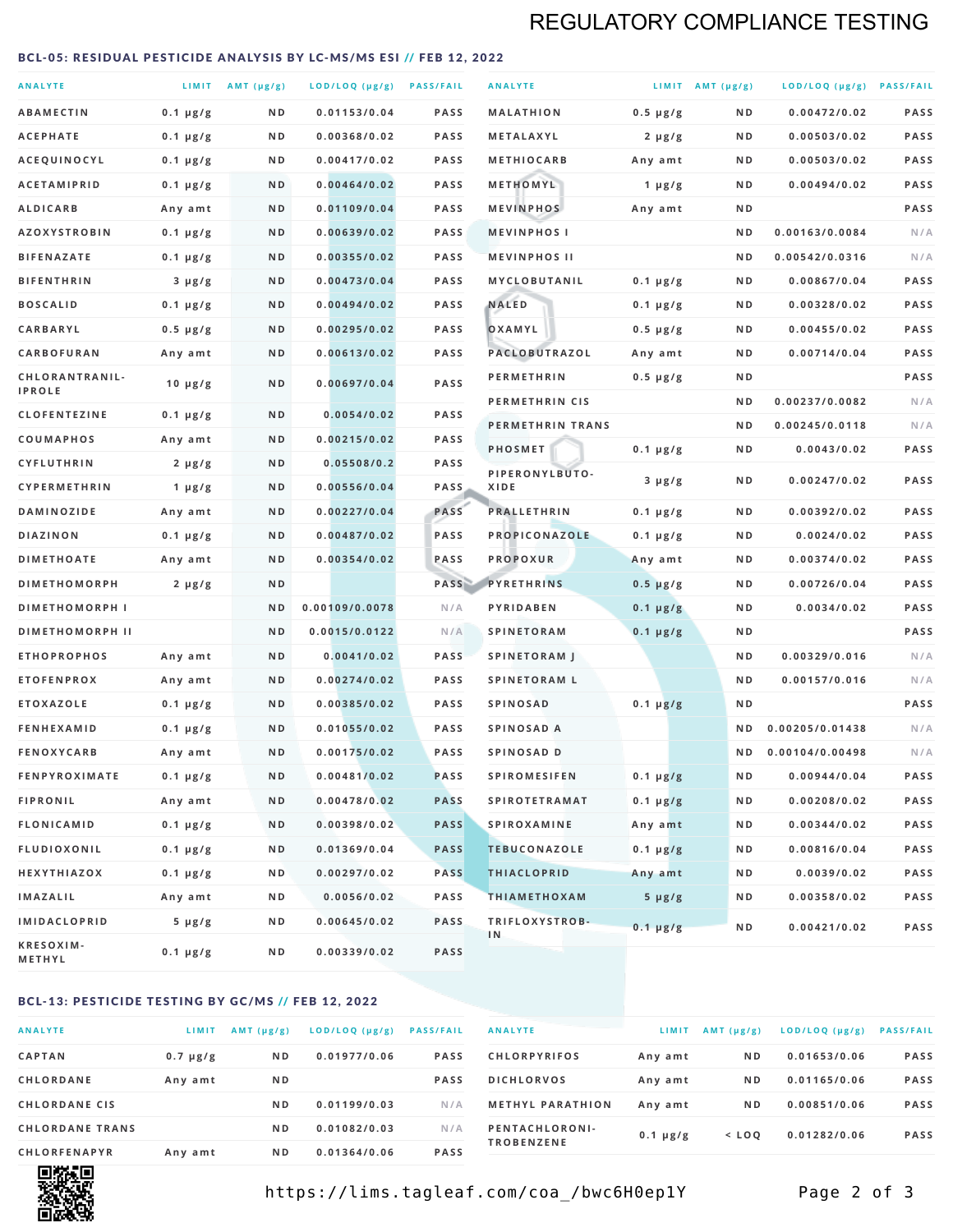## REGULATORY COMPLIANCE TESTING

#### <span id="page-1-0"></span>BCL-05: RESIDUAL PESTICIDE ANALYSIS BY LC-MS/MS ESI // FEB 12, 2022

| <b>ANALYTE</b>                  |                  | LIMIT $AMT (\mu g/g)$ | LOD/LOQ (µg/g) PASS/FAIL |             | <b>ANALYTE</b>         |               | LIMIT AMT $(\mu g/g)$ | LOD/LOQ (µg/g) PASS/FAIL |             |
|---------------------------------|------------------|-----------------------|--------------------------|-------------|------------------------|---------------|-----------------------|--------------------------|-------------|
| <b>ABAMECTIN</b>                | $0.1 \mu g/g$    | N D                   | 0.01153/0.04             | <b>PASS</b> | <b>MALATHION</b>       | $0.5 \mu g/g$ | N D                   | 0.00472/0.02             | <b>PASS</b> |
| <b>ACEPHATE</b>                 | $0.1 \mu g/g$    | N D                   | 0.00368/0.02             | PASS        | <b>METALAXYL</b>       | $2 \mu g/g$   | N D                   | 0.00503/0.02             | PASS        |
| ACEQUINOCYL                     | $0.1 \mu g/g$    | N D                   | 0.00417/0.02             | <b>PASS</b> | <b>METHIOCARB</b>      | Any amt       | N D                   | 0.00503/0.02             | PASS        |
| <b>ACETAMIPRID</b>              | $0.1 \mu g/g$    | N D                   | 0.00464/0.02             | <b>PASS</b> | METHOMYL               | 1 $\mu$ g/g   | N D                   | 0.00494/0.02             | PASS        |
| <b>ALDICARB</b>                 | Any amt          | N D                   | 0.01109/0.04             | <b>PASS</b> | <b>MEVINPHOS</b>       | Any amt       | N D                   |                          | PASS        |
| <b>AZOXYSTROBIN</b>             | $0.1 \mu g/g$    | N D                   | 0.00639/0.02             | PASS        | <b>MEVINPHOSI</b>      |               | N D                   | 0.00163/0.0084           | N/A         |
| <b>BIFENAZATE</b>               | $0.1 \mu g/g$    | N D                   | 0.00355/0.02             | <b>PASS</b> | <b>MEVINPHOS II</b>    |               | N D                   | 0.00542/0.0316           | N/A         |
| <b>BIFENTHRIN</b>               | $3 \mu g/g$      | N D                   | 0.00473/0.04             | <b>PASS</b> | MYCLOBUTANIL           | $0.1 \mu g/g$ | N D                   | 0.00867/0.04             | PASS        |
| <b>BOSCALID</b>                 | $0.1 \mu g/g$    | N D                   | 0.00494/0.02             | <b>PASS</b> | <b>NALED</b>           | $0.1 \mu g/g$ | N D                   | 0.00328/0.02             | PASS        |
| CARBARYL                        | $0.5 \mu g/g$    | N D                   | 0.00295/0.02             | PASS        | OXAMYL                 | $0.5 \mu g/g$ | N D                   | 0.00455/0.02             | PASS        |
| CARBOFURAN                      | Any amt          | N D                   | 0.00613/0.02             | <b>PASS</b> | <b>PACLOBUTRAZOL</b>   | Any amt       | N D                   | 0.00714/0.04             | PASS        |
| CHLORANTRANIL-<br><b>IPROLE</b> | $10 \mu g/g$     | N D                   | 0.00697/0.04             | PASS        | <b>PERMETHRIN</b>      | $0.5 \mu g/g$ | N D                   |                          | PASS        |
| <b>CLOFENTEZINE</b>             | $0.1 \mu g/g$    | N D                   | 0.0054/0.02              | <b>PASS</b> | PERMETHRIN CIS         |               | N D                   | 0.00237/0.0082           | N/A         |
| <b>COUMAPHOS</b>                | Any amt          | N D                   | 0.00215/0.02             | <b>PASS</b> | PERMETHRIN TRANS       |               | N D                   | 0.00245/0.0118           | N/A         |
| <b>CYFLUTHRIN</b>               | $2 \mu g/g$      | N D                   | 0.05508/0.2              | <b>PASS</b> | <b>PHOSMET</b>         | $0.1 \mu g/g$ | N D                   | 0.0043/0.02              | PASS        |
| <b>CYPERMETHRIN</b>             | $1 \mu g/g$      | ND                    | 0.00556/0.04             | <b>PASS</b> | PIPERONYLBUTO-<br>XIDE | $3 \mu g/g$   | N D                   | 0.00247/0.02             | PASS        |
| <b>DAMINOZIDE</b>               | Any amt          | N D                   | 0.00227/0.04             | PASS        | <b>PRALLETHRIN</b>     | $0.1 \mu g/g$ | N D                   | 0.00392/0.02             | PASS        |
| DIAZINON                        | $0.1 \mu g/g$    | N D                   | 0.00487/0.02             | PASS        | PROPICONAZOLE          | $0.1 \mu g/g$ | N D                   | 0.0024/0.02              | PASS        |
| <b>DIMETHOATE</b>               | Any amt          | N D                   | 0.00354/0.02             | PASS        | <b>PROPOXUR</b>        | Any amt       | N D                   | 0.00374/0.02             | PASS        |
| <b>DIMETHOMORPH</b>             | $2 \mu g/g$      | N D                   |                          | PASS        | <b>PYRETHRINS</b>      | $0.5 \mu g/g$ | N D                   | 0.00726/0.04             | PASS        |
| <b>DIMETHOMORPH I</b>           |                  | N D                   | 0.00109/0.0078           | N/A         | PYRIDABEN              | $0.1 \mu g/g$ | N D                   | 0.0034/0.02              | PASS        |
| <b>DIMETHOMORPH II</b>          |                  | ND                    | 0.0015/0.0122            | N/A         | <b>SPINETORAM</b>      | $0.1 \mu g/g$ | N D                   |                          | PASS        |
| <b>ETHOPROPHOS</b>              | Any amt          | N D                   | 0.0041/0.02              | <b>PASS</b> | <b>SPINETORAM J</b>    |               | N D                   | 0.00329/0.016            | N/A         |
| <b>ETOFENPROX</b>               | Any amt          | N D                   | 0.00274/0.02             | PASS        | <b>SPINETORAM L</b>    |               | N D                   | 0.00157/0.016            | N/A         |
| <b>ETOXAZOLE</b>                | $0.1 \mu g/g$    | N D                   | 0.00385/0.02             | <b>PASS</b> | <b>SPINOSAD</b>        | $0.1 \mu g/g$ | N D                   |                          | PASS        |
| <b>FENHEXAMID</b>               | $0.1 \mu g/g$    | N D                   | 0.01055/0.02             | <b>PASS</b> | SPINOSAD A             |               | N D                   | 0.00205/0.01438          | N/A         |
| <b>FENOXYCARB</b>               | Any amt          | N D                   | 0.00175/0.02             | <b>PASS</b> | SPINOSAD D             |               | N D                   | 0.00104/0.00498          | N/A         |
| <b>FENPYROXIMATE</b>            | $0.1 \mu g/g$    | N D                   | 0.00481/0.02             | PASS        | <b>SPIROMESIFEN</b>    | $0.1 \mu g/g$ | N D                   | 0.00944/0.04             | PASS        |
| <b>FIPRONIL</b>                 | Any amt          | N D                   | 0.00478/0.02             | <b>PASS</b> | <b>SPIROTETRAMAT</b>   | $0.1 \mu g/g$ | N D                   | 0.00208/0.02             | PASS        |
| FLONICAMID                      | $0.1 \mu g/g$    | N D                   | 0.00398/0.02             | <b>PASS</b> | <b>SPIROXAMINE</b>     | Any amt       | N D                   | 0.00344/0.02             | PASS        |
| <b>FLUDIOXONIL</b>              | $0.1 \mu g/g$    | N D                   | 0.01369/0.04             | <b>PASS</b> | <b>TEBUCONAZOLE</b>    | $0.1 \mu g/g$ | N D                   | 0.00816/0.04             | PASS        |
| HEXYTHIAZOX                     | $0.1 \, \mu g/g$ | N D                   | 0.00297/0.02             | <b>PASS</b> | <b>THIACLOPRID</b>     | Any amt       | N D                   | 0.0039/0.02              | PASS        |
| <b>IMAZALIL</b>                 | Any amt          | N D                   | 0.0056/0.02              | PASS        | <b>THIAMETHOXAM</b>    | $5 \mu g/g$   | N D                   | 0.00358/0.02             | PASS        |
| <b>IMIDACLOPRID</b>             | $5 \mu g/g$      | N D                   | 0.00645/0.02             | <b>PASS</b> | TRIFLOXYSTROB-         | $0.1 \mu g/g$ | N D                   | 0.00421/0.02             | PASS        |
| KRESOXIM-<br><b>METHYL</b>      | $0.1 \mu g/g$    | N D                   | 0.00339/0.02             | <b>PASS</b> | 1N                     |               |                       |                          |             |

### BCL-13: PESTICIDE TESTING BY GC/MS // FEB 12, 2022

| <b>ANALYTE</b>         | LIMIT         | $AMT$ ( $\mu g/g$ ) | LOD/LOQ (µg/g) | <b>PASS/FAIL</b> |
|------------------------|---------------|---------------------|----------------|------------------|
| <b>CAPTAN</b>          | $0.7 \mu g/g$ | N <sub>D</sub>      | 0.01977/0.06   | <b>PASS</b>      |
| <b>CHLORDANE</b>       | Any amt       | N <sub>D</sub>      |                | <b>PASS</b>      |
| <b>CHLORDANE CIS</b>   |               | N <sub>D</sub>      | 0.01199/0.03   | N/A              |
| <b>CHLORDANE TRANS</b> |               | N <sub>D</sub>      | 0.01082/0.03   | N/A              |
| <b>CHLORFENAPYR</b>    | Any amt       | N <sub>D</sub>      | 0.01364/0.06   | <b>PASS</b>      |

| <b>ANALYTE</b>                      | LIMIT         | AMT $(\mu g/g)$ | LOD/LOQ (µg/g) | <b>PASS/FAIL</b> |
|-------------------------------------|---------------|-----------------|----------------|------------------|
| <b>CHLORPYRIFOS</b>                 | Any amt       | N <sub>D</sub>  | 0.01653/0.06   | <b>PASS</b>      |
| <b>DICHLORVOS</b>                   | Any amt       | N <sub>D</sub>  | 0.01165/0.06   | <b>PASS</b>      |
| <b>METHYL PARATHION</b>             | Any amt       | N <sub>D</sub>  | 0.00851/0.06   | <b>PASS</b>      |
| PENTACHLORONI-<br><b>TROBENZENE</b> | $0.1 \mu g/g$ | $<$ LOO         | 0.01282/0.06   | <b>PASS</b>      |